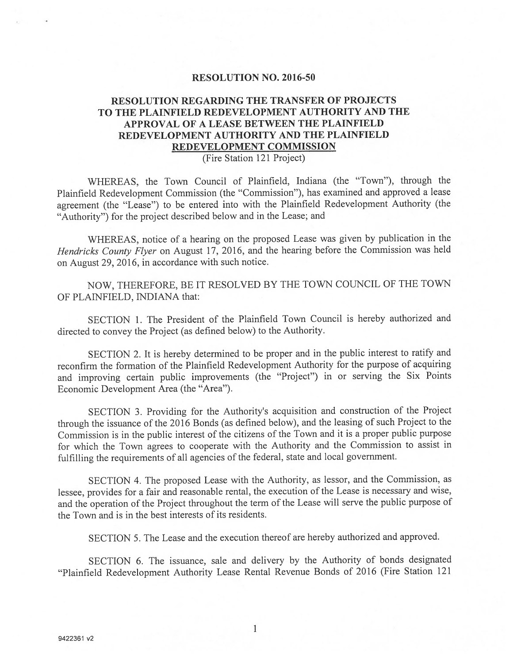## RESOLUTION NO. 2016-50

## RESOLUTION REGARDING THE TRANSFER Of PROJECTS TO THE PLAINFIELD REDEVELOPMENT AUTHORITY AND THE APPROVAL OF A LEASE BETWEEN THE PLAINFIELD REDEVELOPMENT AUTHORITY AND THE PLAINFIELD REDEVELOPMENT COMMISSION

## (Fire Station 121 Project)

WHEREAS, the Town Council of Plainfield, Indiana (the "Town"), through the Plainfield Redevelopment Commission (the "Commission"), has examined and approve<sup>d</sup> <sup>a</sup> lease agreemen<sup>t</sup> (the "Lease") to be entered into with the Plainfield Redevelopment Authority (the "Authority") for the project described below and in the Lease; and

WHEREAS, notice of <sup>a</sup> hearing on the propose<sup>d</sup> Lease was <sup>g</sup>iven by publication in the Hendricks County flyer on August 17, 2016, and the hearing before the Commission was held on August 29, 2016, in accordance with such notice.

NOW, THEREFORE, BE IT RESOLVED BY THE TOWN COuNCIL OF THE TOWN OF PLAINFIELD, INDIANA that:

SECTION 1. The President of the Plainfield Town Council is hereby authorized and directed to convey the Project (as defined below) to the Authority.

SECTION 2. It is hereby determined to be proper and in the public interest to ratify and reconfirm the formation of the Plainfield Redevelopment Authority for the purpose of acquiring and improving certain public improvements (the 'Project") in or serving the Six Points Economic Development Area (the "Area").

SECTION 3. Providing for the Authority's acquisition and construction of the Project through the issuance of the <sup>2016</sup> Bonds (as defined below), and the leasing of such Project to the Commission is in the public interest of the citizens of the Town and it is <sup>a</sup> proper public purpose for which the Town agrees to cooperate with the Authority and the Commission to assist in fulfilling the requirements of all agencies of the federal, state and local government.

SECTION 4. The propose<sup>d</sup> Lease with the Authority, as lessor, and the Commission, as lessee, provides for <sup>a</sup> fair and reasonable rental, the execution of the Lease is necessary and wise, and the operation of the Project throughout the term of the Lease will serve the public purpose of the Town and is in the best interests of its residents.

SECTION 5. The Lease and the execution thereof are hereby authorized and approved.

SECTION 6. The issuance, sale and delivery by the Authority of bonds designated "Plainfield Redevelopment Authority Lease Rental Revenue Bonds of 2016 (Fire Station 121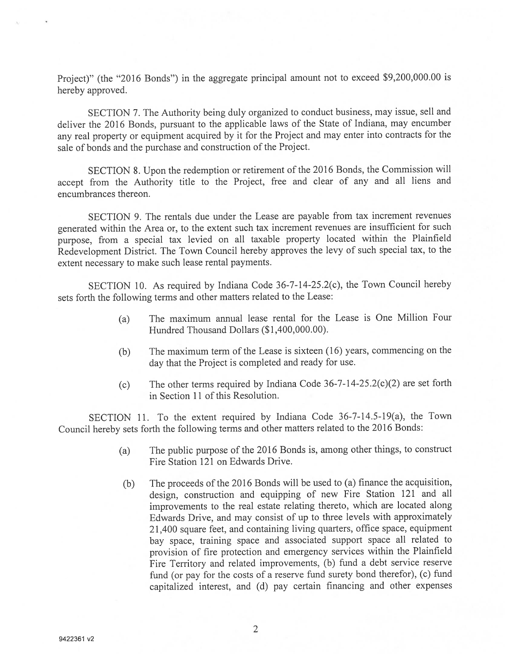Project)" (the "2016 Bonds") in the aggregate principal amount not to exceed \$9,200,000.00 is hereby approved.

SECTION 7. The Authority being duly organized to conduct business, may issue, sell and deliver the <sup>2016</sup> Bonds, pursuan<sup>t</sup> to the applicable laws of the State of Indiana, may encumber any real property or equipment acquired by it for the Project and may enter into contracts for the sale of bonds and the purchase and construction of the Project.

SECTION 8. Upon the redemption or retirement of the <sup>2016</sup> Bonds, the Commission will accep<sup>t</sup> from the Authority title to the Project, free and clear of any and all liens and encumbrances thereon.

SECTION 9. The rentals due under the Lease are payable from tax increment revenues generated within the Area or, to the extent such tax increment revenues are insufficient for such purpose, from <sup>a</sup> special tax levied on all taxable property located within the Plainfield Redevelopment District. The Town Council hereby approves the levy of such special tax, to the extent necessary to make such lease rental payments.

SECTION 10. As required by Indiana Code 36-7-14-25.2(c), the Town Council hereby sets forth the following terms and other matters related to the Lease:

- (a) The maximum annual lease rental for the Lease is One Million Four Hundred Thousand Dollars (\$1,400,000.00).
- (b) The maximum term of the Lease is sixteen (16) years, commencing on the day that the Project is completed and ready for use.
- (c) The other terms required by Indiana Code  $36-7-14-25.2(c)(2)$  are set forth in Section Ii of this Resolution.

SECTION 11. To the extent required by Indiana Code 36-7-14.5-19(a), the Town Council hereby sets forth the following terms and other matters related to the <sup>2016</sup> Bonds:

- (a) The public purpose of the <sup>2016</sup> Bonds is, among other things, to construct Fire Station 121 on Edwards Drive.
- (b) The proceeds of the <sup>2016</sup> Bonds will be used to (a) finance the acquisition, design, construction and equipping of new Fire Station <sup>121</sup> and all improvements to the real estate relating thereto, which are located along Edwards Drive, and may consist of up to three levels with approximately 21,400 square feet, and containing living quarters, office space, equipment bay space, training space and associated suppor<sup>t</sup> space all related to provision of fire protection and emergency services within the Plainfield Fire Territory and related improvements, (b) fund <sup>a</sup> debt service reserve fund (or pay for the costs of <sup>a</sup> reserve fund surety bond therefor), (c) fund capitalized interest, and (d) pay certain financing and other expenses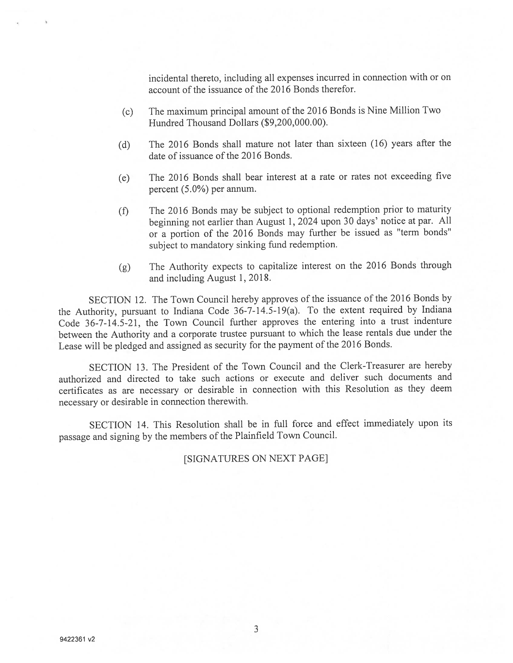incidental thereto, including all expenses incurred in connection with or on account of the issuance of the 2016 Bonds therefor.

- (c) The maximum principal amount of the <sup>2016</sup> Bonds is Nine Million Two Hundred Thousand Dollars (\$9,200,000.00).
- (d) The <sup>2016</sup> Bonds shall mature not later than sixteen (16) years after the date of issuance of the 2016 Bonds.
- (e) The <sup>2016</sup> Bonds shall bear interest at <sup>a</sup> rate or rates not exceeding five percen<sup>t</sup> (5.0%) per annum.
- (f) The <sup>2016</sup> Bonds may be subject to optional redemption prior to maturity beginning not earlier than August 1, <sup>2024</sup> upon <sup>30</sup> days' notice at par. All or <sup>a</sup> portion of the <sup>2016</sup> Bonds may further be issued as "term bonds" subject to mandatory sinking fund redemption.
- (g) The Authority expects to capitalize interest on the <sup>2016</sup> Bonds through and including August 1, 2018.

SECTION 12. The Town Council hereby approves of the issuance of the <sup>2016</sup> Bonds by the Authority, pursuan<sup>t</sup> to Indiana Code 36-7-14.5-19(a). To the extent required by Indiana Code 36-7-14.5-21, the Town Council further approves the entering into <sup>a</sup> trust indenture between the Authority and <sup>a</sup> corporate trustee pursuan<sup>t</sup> to which the lease rentals due under the Lease will be <sup>p</sup>ledged and assigned as security for the paymen<sup>t</sup> of the <sup>2016</sup> Bonds.

SECTION 13. The President of the Town Council and the Clerk-Treasurer are hereby authorized and directed to take such actions or execute and deliver such documents and certificates as are necessary or desirable in connection with this Resolution as they deem necessary or desirable in connection therewith.

SECTION 14. This Resolution shall be in full force and effect immediately upon its passage and signing by the members of the Plainfield Town Council.

[SIGNATURES ON NEXT PAGE]